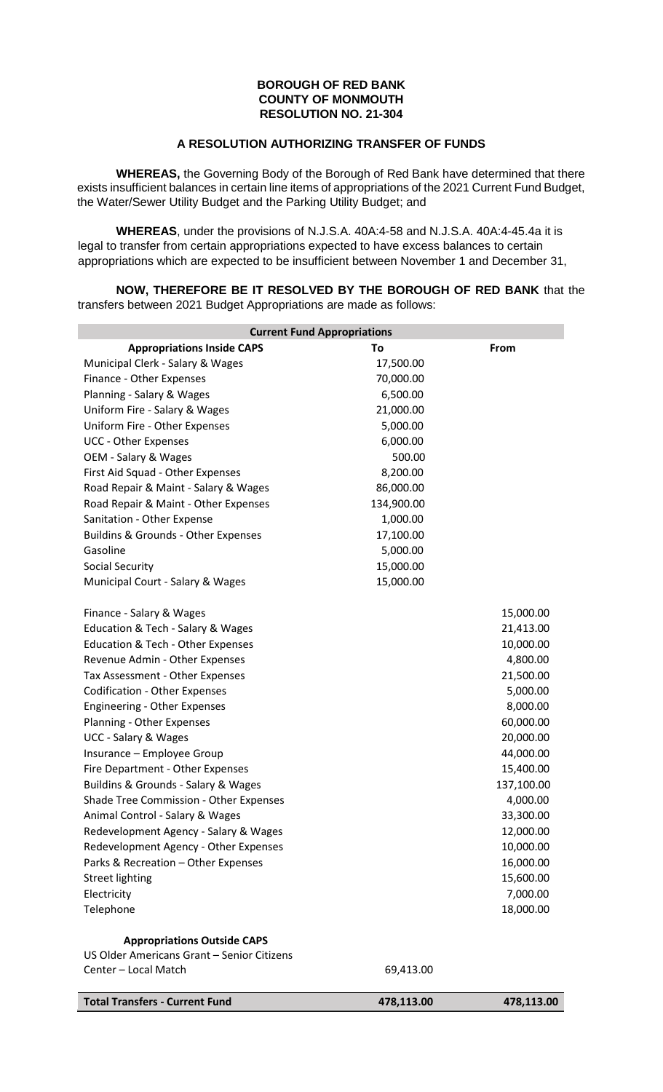## **BOROUGH OF RED BANK COUNTY OF MONMOUTH RESOLUTION NO. 21-304**

## **A RESOLUTION AUTHORIZING TRANSFER OF FUNDS**

**WHEREAS,** the Governing Body of the Borough of Red Bank have determined that there exists insufficient balances in certain line items of appropriations of the 2021 Current Fund Budget, the Water/Sewer Utility Budget and the Parking Utility Budget; and

**WHEREAS**, under the provisions of N.J.S.A. 40A:4-58 and N.J.S.A. 40A:4-45.4a it is legal to transfer from certain appropriations expected to have excess balances to certain appropriations which are expected to be insufficient between November 1 and December 31,

**NOW, THEREFORE BE IT RESOLVED BY THE BOROUGH OF RED BANK** that the transfers between 2021 Budget Appropriations are made as follows:

| <b>Current Fund Appropriations</b>                                 |            |             |  |  |  |  |  |
|--------------------------------------------------------------------|------------|-------------|--|--|--|--|--|
| <b>Appropriations Inside CAPS</b>                                  | To         | <b>From</b> |  |  |  |  |  |
| Municipal Clerk - Salary & Wages                                   | 17,500.00  |             |  |  |  |  |  |
| Finance - Other Expenses                                           | 70,000.00  |             |  |  |  |  |  |
| Planning - Salary & Wages                                          | 6,500.00   |             |  |  |  |  |  |
| Uniform Fire - Salary & Wages                                      | 21,000.00  |             |  |  |  |  |  |
| Uniform Fire - Other Expenses                                      | 5,000.00   |             |  |  |  |  |  |
| <b>UCC - Other Expenses</b>                                        | 6,000.00   |             |  |  |  |  |  |
| OEM - Salary & Wages                                               | 500.00     |             |  |  |  |  |  |
| First Aid Squad - Other Expenses                                   | 8,200.00   |             |  |  |  |  |  |
| Road Repair & Maint - Salary & Wages                               | 86,000.00  |             |  |  |  |  |  |
| Road Repair & Maint - Other Expenses                               | 134,900.00 |             |  |  |  |  |  |
| Sanitation - Other Expense                                         | 1,000.00   |             |  |  |  |  |  |
| Buildins & Grounds - Other Expenses                                | 17,100.00  |             |  |  |  |  |  |
| Gasoline                                                           | 5,000.00   |             |  |  |  |  |  |
| <b>Social Security</b>                                             | 15,000.00  |             |  |  |  |  |  |
| Municipal Court - Salary & Wages                                   | 15,000.00  |             |  |  |  |  |  |
| Finance - Salary & Wages                                           |            | 15,000.00   |  |  |  |  |  |
| Education & Tech - Salary & Wages                                  |            | 21,413.00   |  |  |  |  |  |
| Education & Tech - Other Expenses                                  |            | 10,000.00   |  |  |  |  |  |
| Revenue Admin - Other Expenses                                     |            | 4,800.00    |  |  |  |  |  |
| Tax Assessment - Other Expenses                                    |            | 21,500.00   |  |  |  |  |  |
| <b>Codification - Other Expenses</b>                               |            | 5,000.00    |  |  |  |  |  |
| Engineering - Other Expenses                                       |            | 8,000.00    |  |  |  |  |  |
| Planning - Other Expenses                                          |            | 60,000.00   |  |  |  |  |  |
| <b>UCC - Salary &amp; Wages</b>                                    |            | 20,000.00   |  |  |  |  |  |
| Insurance - Employee Group                                         |            | 44,000.00   |  |  |  |  |  |
| Fire Department - Other Expenses                                   |            | 15,400.00   |  |  |  |  |  |
| Buildins & Grounds - Salary & Wages                                |            | 137,100.00  |  |  |  |  |  |
| Shade Tree Commission - Other Expenses                             |            | 4,000.00    |  |  |  |  |  |
| Animal Control - Salary & Wages                                    |            | 33,300.00   |  |  |  |  |  |
| Redevelopment Agency - Salary & Wages                              |            | 12,000.00   |  |  |  |  |  |
| Redevelopment Agency - Other Expenses                              |            | 10,000.00   |  |  |  |  |  |
| Parks & Recreation - Other Expenses                                |            | 16,000.00   |  |  |  |  |  |
| <b>Street lighting</b>                                             |            | 15,600.00   |  |  |  |  |  |
| Electricity                                                        |            | 7,000.00    |  |  |  |  |  |
| Telephone                                                          |            | 18,000.00   |  |  |  |  |  |
|                                                                    |            |             |  |  |  |  |  |
| <b>Appropriations Outside CAPS</b>                                 |            |             |  |  |  |  |  |
| US Older Americans Grant - Senior Citizens<br>Center - Local Match | 69,413.00  |             |  |  |  |  |  |
|                                                                    |            |             |  |  |  |  |  |

**Total Transfers - Current Fund 478,113.00 478,113.00**